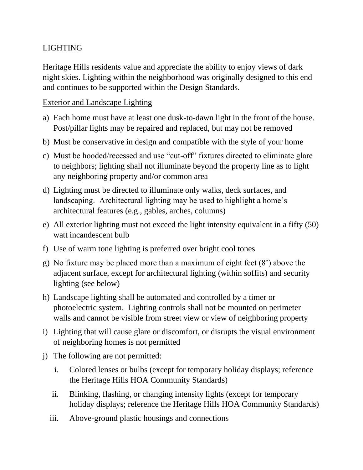## LIGHTING

Heritage Hills residents value and appreciate the ability to enjoy views of dark night skies. Lighting within the neighborhood was originally designed to this end and continues to be supported within the Design Standards.

## Exterior and Landscape Lighting

- a) Each home must have at least one dusk-to-dawn light in the front of the house. Post/pillar lights may be repaired and replaced, but may not be removed
- b) Must be conservative in design and compatible with the style of your home
- c) Must be hooded/recessed and use "cut-off" fixtures directed to eliminate glare to neighbors; lighting shall not illuminate beyond the property line as to light any neighboring property and/or common area
- d) Lighting must be directed to illuminate only walks, deck surfaces, and landscaping. Architectural lighting may be used to highlight a home's architectural features (e.g., gables, arches, columns)
- e) All exterior lighting must not exceed the light intensity equivalent in a fifty (50) watt incandescent bulb
- f) Use of warm tone lighting is preferred over bright cool tones
- g) No fixture may be placed more than a maximum of eight feet (8') above the adjacent surface, except for architectural lighting (within soffits) and security lighting (see below)
- h) Landscape lighting shall be automated and controlled by a timer or photoelectric system. Lighting controls shall not be mounted on perimeter walls and cannot be visible from street view or view of neighboring property
- i) Lighting that will cause glare or discomfort, or disrupts the visual environment of neighboring homes is not permitted
- j) The following are not permitted:
	- i. Colored lenses or bulbs (except for temporary holiday displays; reference the Heritage Hills HOA Community Standards)
	- ii. Blinking, flashing, or changing intensity lights (except for temporary holiday displays; reference the Heritage Hills HOA Community Standards)
	- iii. Above-ground plastic housings and connections